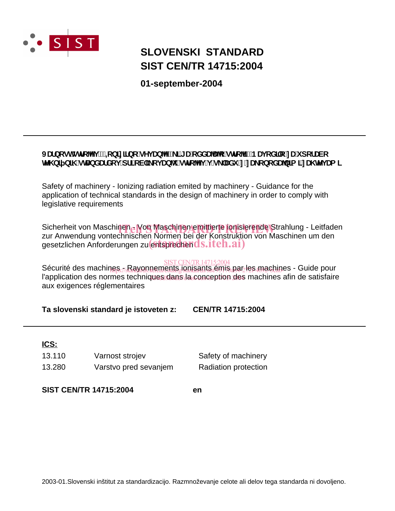

# **SIST CEN/TR 14715:2004 SLOVENSKI STANDARD**

**01-september-2004**

### JUfbcghghc^i !`=cb]n]fbc`gYj Ub^Yž\_]`[UcXXUU^c`ghc^]!`BUjcX]`c`nUi dcfUVc **Heta** b] b]\ gHJbXUfXcj df]cV]\_cj Ub1 gHc $\gamma$ j j g `UXi 'n'nU\_cbcXU/b]a ]'nU\ HYj Ua ]

Safety of machinery - Ionizing radiation emited by machinery - Guidance for the application of technical standards in the design of machinery in order to comply with legislative requirements

Sicherheit von Maschinen - Von Maschinen emittierte jonisierende Strahlung - Leitfaden<br>zur Anwendung vontechnischen Normen hei der Konstruktion von Maschinen um den zur Anwendung vontechnischen Normen bei der Konstruktion von Maschinen um den zur Anwendung vondermischen Normen ber der Norstrando

### SISTCEN/TR14715:2004

Sécurité des machines - Rayonnements jonisants émis par les machines - Guide pour l'application des normes techniques dans la conception des machines afin de satisfaire aux exigences réglementaires hts:<sub>//sta</sub>xonnements.jonisants.emis.par/es4machip

**Ta slovenski standard je istoveten z: CEN/TR 14715:2004**

### **ICS:**

| 13.110 | Varnost strojev       |
|--------|-----------------------|
| 13.280 | Varstvo pred sevanjem |

Radiation protection Safety of machinery

**SIST CEN/TR 14715:2004 en**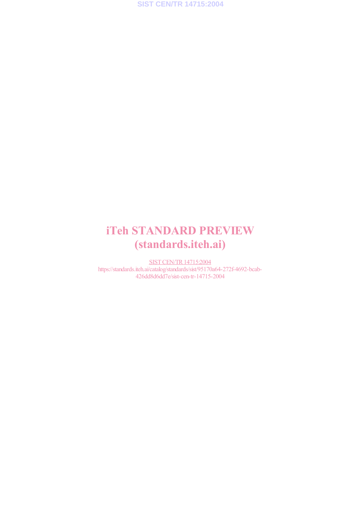

# iTeh STANDARD PREVIEW (standards.iteh.ai)

SISTCEN/TR14715:2004 https://standards.iteh.ai/catalog/standards/sist/95170a64-272f-4692-bcab-426dd8d6dd7e/sist-cen-tr-14715-2004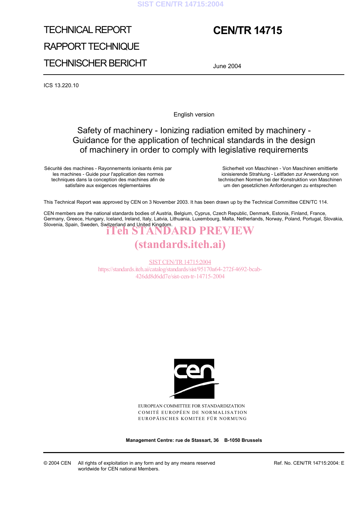#### **SIST CEN/TR 14715:2004**

# TECHNICAL REPORT RAPPORT TECHNIQUE TECHNISCHER BERICHT

# **CEN/TR 14715**

June 2004

ICS 13.220.10

English version

## Safety of machinery - Ionizing radiation emited by machinery - Guidance for the application of technical standards in the design of machinery in order to comply with legislative requirements

Sécurité des machines - Rayonnements ionisants émis par les machines - Guide pour l'application des normes techniques dans la conception des machines afin de satisfaire aux exigences réglementaires

 Sicherheit von Maschinen - Von Maschinen emittierte ionisierende Strahlung - Leitfaden zur Anwendung von technischen Normen bei der Konstruktion von Maschinen um den gesetzlichen Anforderungen zu entsprechen

This Technical Report was approved by CEN on 3 November 2003. It has been drawn up by the Technical Committee CEN/TC 114.

CEN members are the national standards bodies of Austria, Belgium, Cyprus, Czech Republic, Denmark, Estonia, Finland, France, Germany, Greece, Hungary, Iceland, Ireland, Italy, Latvia, Lithuania, Luxembourg, Malta, Netherlands, Norway, Poland, Portugal, Slovakia, Slovenia, Spain, Sweden, Switzerland and United Kingdom. iTeh STANDARD PREVIEW

# (standards.iteh.ai)

SISTCEN/TR14715:2004 https://standards.iteh.ai/catalog/standards/sist/95170a64-272f-4692-bcab-426dd8d6dd7e/sist-cen-tr-14715-2004



EUROPEAN COMMITTEE FOR STANDARDIZATION COMITÉ EUROPÉEN DE NORMALISATION EUROPÄISCHES KOMITEE FÜR NORMUNG

**Management Centre: rue de Stassart, 36 B-1050 Brussels** 

© 2004 CEN All rights of exploitation in any form and by any means reserved worldwide for CEN national Members.

Ref. No. CEN/TR 14715:2004: E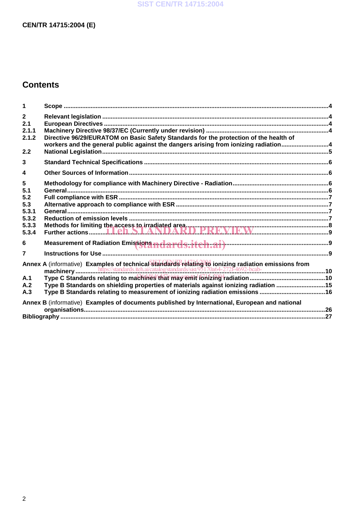#### **SIST CEN/TR 14715:2004**

### **CEN/TR 14715:2004 (E)**

## **Contents**

| 1                       |                                                                                                                                                                              |  |
|-------------------------|------------------------------------------------------------------------------------------------------------------------------------------------------------------------------|--|
| $\mathbf{2}$<br>2.1     |                                                                                                                                                                              |  |
| 2.1.1                   |                                                                                                                                                                              |  |
| 2.1.2                   | Directive 96/29/EURATOM on Basic Safety Standards for the protection of the health of<br>workers and the general public against the dangers arising from ionizing radiation4 |  |
| 2.2                     |                                                                                                                                                                              |  |
| 3                       |                                                                                                                                                                              |  |
| $\overline{\mathbf{4}}$ |                                                                                                                                                                              |  |
| 5                       |                                                                                                                                                                              |  |
| 5.1                     |                                                                                                                                                                              |  |
| 5.2                     |                                                                                                                                                                              |  |
| 5.3                     |                                                                                                                                                                              |  |
| 5.3.1                   |                                                                                                                                                                              |  |
| 5.3.2                   |                                                                                                                                                                              |  |
| 5.3.3                   |                                                                                                                                                                              |  |
| 5.3.4                   |                                                                                                                                                                              |  |
| 6                       |                                                                                                                                                                              |  |
| $\overline{7}$          |                                                                                                                                                                              |  |
|                         |                                                                                                                                                                              |  |
|                         |                                                                                                                                                                              |  |
| A.1<br>A.2              |                                                                                                                                                                              |  |
|                         | Type B Standards on shielding properties of materials against ionizing radiation 15                                                                                          |  |
| A.3                     | Type B Standards relating to measurement of ionizing radiation emissions 16                                                                                                  |  |
|                         | Annex B (informative) Examples of documents published by International, European and national                                                                                |  |
|                         |                                                                                                                                                                              |  |
|                         |                                                                                                                                                                              |  |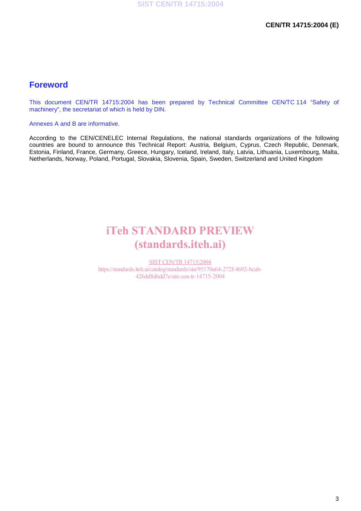### **Foreword**

This document CEN/TR 14715:2004 has been prepared by Technical Committee CEN/TC 114 "Safety of machinery", the secretariat of which is held by DIN.

Annexes A and B are informative.

According to the CEN/CENELEC Internal Regulations, the national standards organizations of the following countries are bound to announce this Technical Report: Austria, Belgium, Cyprus, Czech Republic, Denmark, Estonia, Finland, France, Germany, Greece, Hungary, Iceland, Ireland, Italy, Latvia, Lithuania, Luxembourg, Malta, Netherlands, Norway, Poland, Portugal, Slovakia, Slovenia, Spain, Sweden, Switzerland and United Kingdom

# iTeh STANDARD PREVIEW (standards.iteh.ai)

SISTCEN/TR14715:2004 https://standards.iteh.ai/catalog/standards/sist/95170a64-272f-4692-bcab-426dd8d6dd7e/sist-cen-tr-14715-2004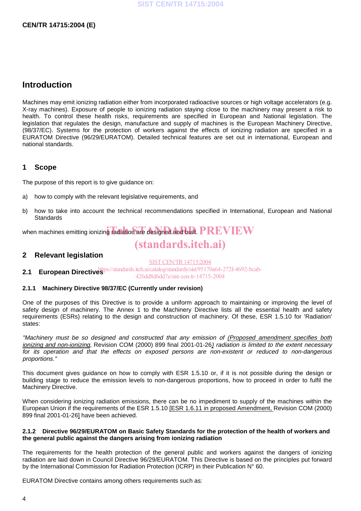## **Introduction**

Machines may emit ionizing radiation either from incorporated radioactive sources or high voltage accelerators (e.g. X-ray machines). Exposure of people to ionizing radiation staying close to the machinery may present a risk to health. To control these health risks, requirements are specified in European and National legislation. The legislation that regulates the design, manufacture and supply of machines is the European Machinery Directive, (98/37/EC). Systems for the protection of workers against the effects of ionizing radiation are specified in a EURATOM Directive (96/29/EURATOM). Detailed technical features are set out in international, European and national standards.

#### **1 Scope**

The purpose of this report is to give guidance on:

- a) how to comply with the relevant legislative requirements, and
- b) how to take into account the technical recommendations specified in International, European and National **Standards**

when machines emitting ionizing radiation are designed and built.  ${\bf PREVEW}$ 

# (standards.iteh.ai)

#### **2 Relevant legislation**

SISTCEN/TR14715:2004

**2.1 European Directives**<sup>https://standards.iteh.ai/catalog/standards/sist/95170a64-272f-4692-bcab-</sup> 426dd8d6dd7e/sist-cen-tr-14715-2004

#### **2.1.1 Machinery Directive 98/37/EC (Currently under revision)**

One of the purposes of this Directive is to provide a uniform approach to maintaining or improving the level of safety design of machinery. The Annex 1 to the Machinery Directive lists all the essential health and safety requirements (ESRs) relating to the design and construction of machinery. Of these, ESR 1.5.10 for 'Radiation' states:

"Machinery must be so designed and constructed that any emission of (Proposed amendment specifies both ionizing and non-ionizing, Revision COM (2000) 899 final 2001-01-26) radiation is limited to the extent necessary for its operation and that the effects on exposed persons are non-existent or reduced to non-dangerous proportions."

This document gives guidance on how to comply with ESR 1.5.10 or, if it is not possible during the design or building stage to reduce the emission levels to non-dangerous proportions, how to proceed in order to fulfil the Machinery Directive.

When considering ionizing radiation emissions, there can be no impediment to supply of the machines within the European Union if the requirements of the ESR 1.5.10 [ESR 1.6.11 in proposed Amendment, Revision COM (2000) 899 final 2001-01-26] have been achieved.

#### **2.1.2 Directive 96/29/EURATOM on Basic Safety Standards for the protection of the health of workers and the general public against the dangers arising from ionizing radiation**

The requirements for the health protection of the general public and workers against the dangers of ionizing radiation are laid down in Council Directive 96/29/EURATOM. This Directive is based on the principles put forward by the International Commission for Radiation Protection (ICRP) in their Publication N° 60.

EURATOM Directive contains among others requirements such as: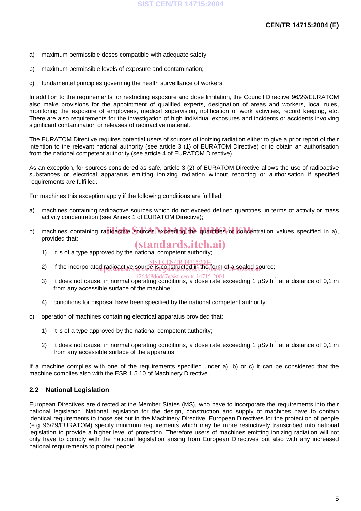- a) maximum permissible doses compatible with adequate safety;
- b) maximum permissible levels of exposure and contamination;
- c) fundamental principles governing the health surveillance of workers.

In addition to the requirements for restricting exposure and dose limitation, the Council Directive 96/29/EURATOM also make provisions for the appointment of qualified experts, designation of areas and workers, local rules, monitoring the exposure of employees, medical supervision, notification of work activities, record keeping, etc. There are also requirements for the investigation of high individual exposures and incidents or accidents involving significant contamination or releases of radioactive material.

The EURATOM Directive requires potential users of sources of ionizing radiation either to give a prior report of their intention to the relevant national authority (see article 3 (1) of EURATOM Directive) or to obtain an authorisation from the national competent authority (see article 4 of EURATOM Directive).

As an exception, for sources considered as safe, article 3 (2) of EURATOM Directive allows the use of radioactive substances or electrical apparatus emitting ionizing radiation without reporting or authorisation if specified requirements are fulfilled.

For machines this exception apply if the following conditions are fulfilled:

- a) machines containing radioactive sources which do not exceed defined quantities, in terms of activity or mass activity concentration (see Annex 1 of EURATOM Directive);
- b) machines containing radioactive sources exceeding the quantities or concentration values specified in a), provided that: (standards.iteh.ai)
	- 1) it is of a type approved by the national competent authority;
	- SIST CEN/TR 14715:2004
	- 2) if the incorporated radioactive source is constructed in the form of a sealed source;
		-
	- $3)$  it does not cause, in normal operating conditions, a dose rate exceeding 1 µSv.h<sup>-1</sup> at a distance of 0,1 m from any accessible surface of the machine;
	- 4) conditions for disposal have been specified by the national competent authority;
- c) operation of machines containing electrical apparatus provided that:
	- 1) it is of a type approved by the national competent authority;
	- 2) it does not cause, in normal operating conditions, a dose rate exceeding 1  $\mu$ Sv.h<sup>-1</sup> at a distance of 0.1 m from any accessible surface of the apparatus.

If a machine complies with one of the requirements specified under a), b) or c) it can be considered that the machine complies also with the ESR 1.5.10 of Machinery Directive.

#### **2.2 National Legislation**

European Directives are directed at the Member States (MS), who have to incorporate the requirements into their national legislation. National legislation for the design, construction and supply of machines have to contain identical requirements to those set out in the Machinery Directive. European Directives for the protection of people (e.g. 96/29/EURATOM) specify minimum requirements which may be more restrictively transcribed into national legislation to provide a higher level of protection. Therefore users of machines emitting ionizing radiation will not only have to comply with the national legislation arising from European Directives but also with any increased national requirements to protect people.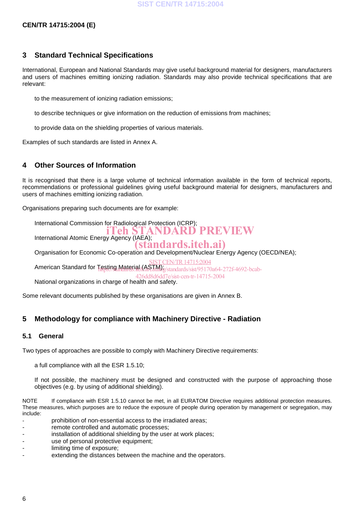#### **CEN/TR 14715:2004 (E)**

#### **3 Standard Technical Specifications**

International, European and National Standards may give useful background material for designers, manufacturers and users of machines emitting ionizing radiation. Standards may also provide technical specifications that are relevant:

- to the measurement of ionizing radiation emissions;
- to describe techniques or give information on the reduction of emissions from machines;
- to provide data on the shielding properties of various materials.

Examples of such standards are listed in Annex A.

#### **4 Other Sources of Information**

It is recognised that there is a large volume of technical information available in the form of technical reports, recommendations or professional guidelines giving useful background material for designers, manufacturers and users of machines emitting ionizing radiation.

Organisations preparing such documents are for example:

- International Commission for Radiological Protection (ICRP);
- International Atomic Energy Agency (IAEA); **ich STANDARD PREVIEW** 
	- (standards.iteh.ai)
- Organisation for Economic Co-operation and Development/Nuclear Energy Agency (OECD/NEA);
	- **IST CEN/TR 14715:2004**
- American Standard for Testing Material (ASTM); standards/sist/95170a64-272f-4692-bcab-
- 426dd8d6dd7e/sist-cen-tr-14715-2004
- National organizations in charge of health and safety.

Some relevant documents published by these organisations are given in Annex B.

#### **5 Methodology for compliance with Machinery Directive - Radiation**

#### **5.1 General**

Two types of approaches are possible to comply with Machinery Directive requirements:

- a full compliance with all the ESR 1.5.10;
- If not possible, the machinery must be designed and constructed with the purpose of approaching those objectives (e.g. by using of additional shielding).

NOTE If compliance with ESR 1.5.10 cannot be met, in all EURATOM Directive requires additional protection measures. These measures, which purposes are to reduce the exposure of people during operation by management or segregation, may include:

- prohibition of non-essential access to the irradiated areas;
- remote controlled and automatic processes;
- installation of additional shielding by the user at work places;
- use of personal protective equipment;
- limiting time of exposure;
- extending the distances between the machine and the operators.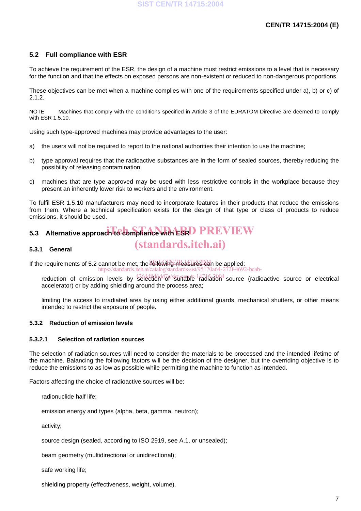#### **5.2 Full compliance with ESR**

To achieve the requirement of the ESR, the design of a machine must restrict emissions to a level that is necessary for the function and that the effects on exposed persons are non-existent or reduced to non-dangerous proportions.

These objectives can be met when a machine complies with one of the requirements specified under a), b) or c) of 2.1.2.

NOTE Machines that comply with the conditions specified in Article 3 of the EURATOM Directive are deemed to comply with ESR 1.5.10.

Using such type-approved machines may provide advantages to the user:

- a) the users will not be required to report to the national authorities their intention to use the machine;
- b) type approval requires that the radioactive substances are in the form of sealed sources, thereby reducing the possibility of releasing contamination;
- c) machines that are type approved may be used with less restrictive controls in the workplace because they present an inherently lower risk to workers and the environment.

To fulfil ESR 1.5.10 manufacturers may need to incorporate features in their products that reduce the emissions from them. Where a technical specification exists for the design of that type or class of products to reduce emissions, it should be used.

(standards.iteh.ai)

# 5.3 Alternative approach to compliance with ESRD PREVIEW

#### **5.3.1 General**

If the requirements of 5.2 cannot be met, the **following measures can** be applied:

- https://standards
- eduction of emission levels by selection<sup>1</sup> of stiftable 1 adiation<sup>4</sup> source (radioactive source or electrical accelerator) or by adding shielding around the process area;
- limiting the access to irradiated area by using either additional guards, mechanical shutters, or other means intended to restrict the exposure of people.

#### **5.3.2 Reduction of emission levels**

#### **5.3.2.1 Selection of radiation sources**

The selection of radiation sources will need to consider the materials to be processed and the intended lifetime of the machine. Balancing the following factors will be the decision of the designer, but the overriding objective is to reduce the emissions to as low as possible while permitting the machine to function as intended.

Factors affecting the choice of radioactive sources will be:

- radionuclide half life;
- emission energy and types (alpha, beta, gamma, neutron);
- activity;
- source design (sealed, according to ISO 2919, see A.1, or unsealed);
- beam geometry (multidirectional or unidirectional);
- safe working life;
- $-$  shielding property (effectiveness, weight, volume).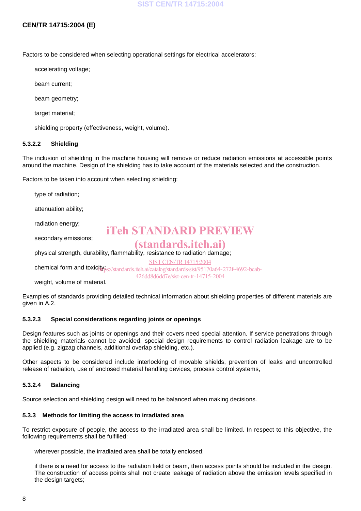#### **CEN/TR 14715:2004 (E)**

Factors to be considered when selecting operational settings for electrical accelerators:

- accelerating voltage;
- beam current;
- beam geometry;
- target material;
- shielding property (effectiveness, weight, volume).

#### **5.3.2.2 Shielding**

The inclusion of shielding in the machine housing will remove or reduce radiation emissions at accessible points around the machine. Design of the shielding has to take account of the materials selected and the construction.

Factors to be taken into account when selecting shielding:

- type of radiation;
- attenuation ability;
- radiation energy;
- secondary emissions;

## iTeh STANDARD PREVIEW

 physical strength, durability, flammability, resistance to radiation damage; (standards.iteh.ai)

SIST CEN/TR 14715:2004

426dd8d6dd7e/sist-cen-tr-14715-2004

- chemical form and toxicity<sub>ps</sub>://standards.iteh.ai/catalog/standards/sist/95170a64-272f-4692-bcab-
- weight, volume of material.

Examples of standards providing detailed technical information about shielding properties of different materials are given in A.2.

#### **5.3.2.3 Special considerations regarding joints or openings**

Design features such as joints or openings and their covers need special attention. If service penetrations through the shielding materials cannot be avoided, special design requirements to control radiation leakage are to be applied (e.g. zigzag channels, additional overlap shielding, etc.).

Other aspects to be considered include interlocking of movable shields, prevention of leaks and uncontrolled release of radiation, use of enclosed material handling devices, process control systems,

#### **5.3.2.4 Balancing**

Source selection and shielding design will need to be balanced when making decisions.

#### **5.3.3 Methods for limiting the access to irradiated area**

To restrict exposure of people, the access to the irradiated area shall be limited. In respect to this objective, the following requirements shall be fulfilled:

- wherever possible, the irradiated area shall be totally enclosed;
- if there is a need for access to the radiation field or beam, then access points should be included in the design. The construction of access points shall not create leakage of radiation above the emission levels specified in the design targets;